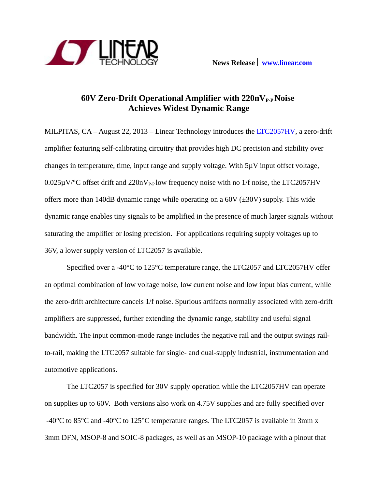

# **60V Zero-Drift Operational Amplifier with 220nVP-P Noise Achieves Widest Dynamic Range**

MILPITAS, CA – August 22, 2013 – Linear Technology introduces the [LTC2057HV,](http://www.linear.com/product/LTC2057) a zero-drift amplifier featuring self-calibrating circuitry that provides high DC precision and stability over changes in temperature, time, input range and supply voltage. With 5µV input offset voltage,  $0.025\mu$ V/°C offset drift and 220nV<sub>P-P</sub> low frequency noise with no 1/f noise, the LTC2057HV offers more than 140dB dynamic range while operating on a  $60V$  ( $\pm 30V$ ) supply. This wide dynamic range enables tiny signals to be amplified in the presence of much larger signals without saturating the amplifier or losing precision. For applications requiring supply voltages up to 36V, a lower supply version of LTC2057 is available.

Specified over a -40°C to 125°C temperature range, the LTC2057 and LTC2057HV offer an optimal combination of low voltage noise, low current noise and low input bias current, while the zero-drift architecture cancels 1/f noise. Spurious artifacts normally associated with zero-drift amplifiers are suppressed, further extending the dynamic range, stability and useful signal bandwidth. The input common-mode range includes the negative rail and the output swings railto-rail, making the LTC2057 suitable for single- and dual-supply industrial, instrumentation and automotive applications.

The LTC2057 is specified for 30V supply operation while the LTC2057HV can operate on supplies up to 60V. Both versions also work on 4.75V supplies and are fully specified over -40°C to 85°C and -40°C to 125°C temperature ranges. The LTC2057 is available in 3mm x 3mm DFN, MSOP-8 and SOIC-8 packages, as well as an MSOP-10 package with a pinout that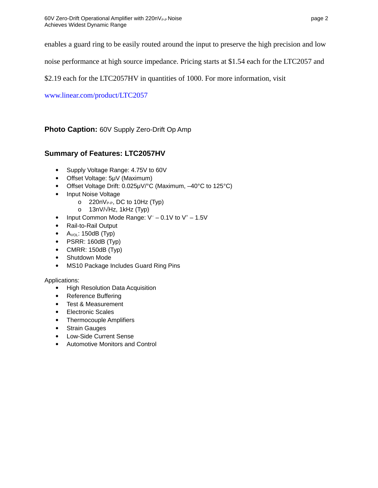enables a guard ring to be easily routed around the input to preserve the high precision and low

noise performance at high source impedance. Pricing starts at \$1.54 each for the LTC2057 and

\$2.19 each for the LTC2057HV in quantities of 1000. For more information, visit

[www.linear.com/product/LTC2057](http://www.linear.com/product/LTC2057)

**Photo Caption:** 60V Supply Zero-Drift Op Amp

## **Summary of Features: LTC2057HV**

- Supply Voltage Range: 4.75V to 60V
- Offset Voltage: 5μV (Maximum)
- Offset Voltage Drift: 0.025μV/°C (Maximum, –40°C to 125°C)
- Input Noise Voltage
	- o  $220nV_{P-P}$ , DC to 10Hz (Typ)
	- o 13nV/√Hz, 1kHz (Typ)
- Input Common Mode Range:  $V^- 0.1V$  to  $V^+ 1.5V$
- Rail-to-Rail Output
- $\bullet$  A<sub>vol</sub>: 150dB (Typ)
- $\bullet$  PSRR: 160dB (Typ)
- CMRR: 150dB (Typ)
- Shutdown Mode
- MS10 Package Includes Guard Ring Pins

### Applications:

- High Resolution Data Acquisition
- Reference Buffering
- Test & Measurement
- Electronic Scales
- Thermocouple Amplifiers
- Strain Gauges
- Low-Side Current Sense
- Automotive Monitors and Control